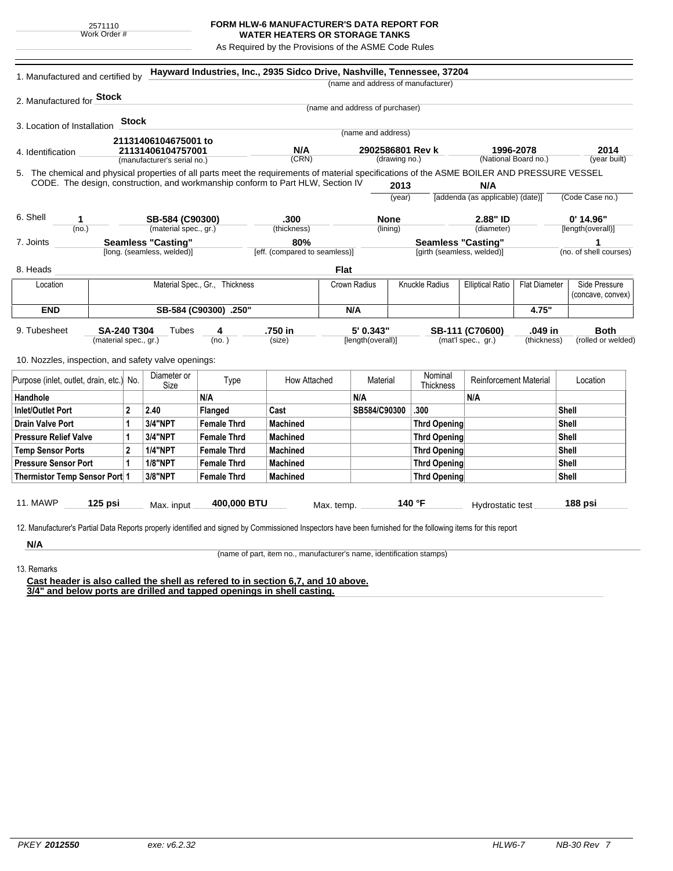| 2571110      |  |
|--------------|--|
| Work Order # |  |

## **FORM HLW-6 MANUFACTURER'S DATA REPORT FOR WATER HEATERS OR STORAGE TANKS**

As Required by the Provisions of the ASME Code Rules

| (name and address of manufacturer)<br>2. Manufactured for <b>Stock</b><br>(name and address of purchaser)<br><b>Stock</b><br>3. Location of Installation<br>(name and address)<br>21131406104675001 to<br>N/A<br>2902586801 Rev k<br>1996-2078<br>21131406104757001<br>4. Identification<br>(CRN)<br>(National Board no.)<br>(drawing no.)<br>(year built)<br>(manufacturer's serial no.)<br>5. The chemical and physical properties of all parts meet the requirements of material specifications of the ASME BOILER AND PRESSURE VESSEL<br>CODE. The design, construction, and workmanship conform to Part HLW, Section IV<br>2013<br>N/A<br>[addenda (as applicable) (date)]<br>(Code Case no.)<br>(year)<br>6. Shell<br>$0'$ 14.96"<br>.300<br><b>None</b><br>2.88" ID<br>SB-584 (C90300)<br>1<br>(material spec., gr.)<br>(no.)<br>(thickness)<br>(lining)<br>(diameter)<br>[length(overall)]<br><b>Seamless "Casting"</b><br>80%<br><b>Seamless "Casting"</b><br>1<br>7. Joints<br>[long. (seamless, welded)]<br>[eff. (compared to seamless)]<br>[girth (seamless, welded)]<br><b>Flat</b><br>8. Heads<br>Knuckle Radius<br>Material Spec., Gr., Thickness<br>Crown Radius<br><b>Elliptical Ratio</b><br><b>Flat Diameter</b><br>Location<br><b>END</b><br>SB-584 (C90300) .250"<br>N/A<br>4.75"<br>5' 0.343"<br>.049 in<br>9. Tubesheet<br><b>SA-240 T304</b><br>Tubes<br>4<br>.750 in<br>SB-111 (C70600)<br><b>Both</b><br>(material spec., gr.)<br>(no.)<br>[length(overall)]<br>(mat'l spec., gr.)<br>(thickness)<br>(size)<br>10. Nozzles, inspection, and safety valve openings:<br>Nominal<br>Diameter or<br><b>Reinforcement Material</b><br>Purpose (inlet, outlet, drain, etc.) No.<br>Type<br>How Attached<br>Material<br>Location<br>Size<br>Thickness<br>N/A<br>N/A<br>N/A<br>Handhole<br><b>Inlet/Outlet Port</b><br>2<br>2.40<br>SB584/C90300<br>.300<br>Flanged<br>Cast<br>Shell<br>3/4"NPT<br><b>Female Thrd</b><br><b>Machined</b><br>Shell<br><b>Drain Valve Port</b><br>1<br><b>Thrd Opening</b><br>3/4"NPT<br>1<br><b>Female Thrd</b><br><b>Machined</b><br>Shell<br><b>Pressure Relief Valve</b><br><b>Thrd Opening</b><br>$\overline{2}$<br><b>1/4"NPT</b><br><b>Shell</b><br><b>Temp Sensor Ports</b><br><b>Female Thrd</b><br><b>Machined</b><br><b>Thrd Opening</b><br><b>1/8"NPT</b><br>1<br><b>Shell</b><br><b>Pressure Sensor Port</b><br><b>Female Thrd</b><br><b>Machined</b><br><b>Thrd Opening</b><br>3/8"NPT<br>Thermistor Temp Sensor Port 1<br><b>Female Thrd</b><br><b>Machined</b><br><b>Thrd Opening</b><br><b>Shell</b><br><b>11. MAWP</b><br>400,000 BTU<br>140 °F<br>$125$ psi<br>188 psi<br>Max. input<br>Hydrostatic test<br>Max. temp.<br>12. Manufacturer's Partial Data Reports properly identified and signed by Commissioned Inspectors have been furnished for the following items for this report | 1. Manufactured and certified by |  |  |  |  | Hayward Industries, Inc., 2935 Sidco Drive, Nashville, Tennessee, 37204 |  |  |  |  |                    |      |                        |
|-------------------------------------------------------------------------------------------------------------------------------------------------------------------------------------------------------------------------------------------------------------------------------------------------------------------------------------------------------------------------------------------------------------------------------------------------------------------------------------------------------------------------------------------------------------------------------------------------------------------------------------------------------------------------------------------------------------------------------------------------------------------------------------------------------------------------------------------------------------------------------------------------------------------------------------------------------------------------------------------------------------------------------------------------------------------------------------------------------------------------------------------------------------------------------------------------------------------------------------------------------------------------------------------------------------------------------------------------------------------------------------------------------------------------------------------------------------------------------------------------------------------------------------------------------------------------------------------------------------------------------------------------------------------------------------------------------------------------------------------------------------------------------------------------------------------------------------------------------------------------------------------------------------------------------------------------------------------------------------------------------------------------------------------------------------------------------------------------------------------------------------------------------------------------------------------------------------------------------------------------------------------------------------------------------------------------------------------------------------------------------------------------------------------------------------------------------------------------------------------------------------------------------------------------------------------------------------------------------------------------------------------------------------------------------------------------------------------------------------------------------------------------------------------------------------------------------------------------------------|----------------------------------|--|--|--|--|-------------------------------------------------------------------------|--|--|--|--|--------------------|------|------------------------|
|                                                                                                                                                                                                                                                                                                                                                                                                                                                                                                                                                                                                                                                                                                                                                                                                                                                                                                                                                                                                                                                                                                                                                                                                                                                                                                                                                                                                                                                                                                                                                                                                                                                                                                                                                                                                                                                                                                                                                                                                                                                                                                                                                                                                                                                                                                                                                                                                                                                                                                                                                                                                                                                                                                                                                                                                                                                             |                                  |  |  |  |  |                                                                         |  |  |  |  |                    |      |                        |
|                                                                                                                                                                                                                                                                                                                                                                                                                                                                                                                                                                                                                                                                                                                                                                                                                                                                                                                                                                                                                                                                                                                                                                                                                                                                                                                                                                                                                                                                                                                                                                                                                                                                                                                                                                                                                                                                                                                                                                                                                                                                                                                                                                                                                                                                                                                                                                                                                                                                                                                                                                                                                                                                                                                                                                                                                                                             |                                  |  |  |  |  |                                                                         |  |  |  |  |                    |      |                        |
|                                                                                                                                                                                                                                                                                                                                                                                                                                                                                                                                                                                                                                                                                                                                                                                                                                                                                                                                                                                                                                                                                                                                                                                                                                                                                                                                                                                                                                                                                                                                                                                                                                                                                                                                                                                                                                                                                                                                                                                                                                                                                                                                                                                                                                                                                                                                                                                                                                                                                                                                                                                                                                                                                                                                                                                                                                                             |                                  |  |  |  |  |                                                                         |  |  |  |  |                    |      |                        |
|                                                                                                                                                                                                                                                                                                                                                                                                                                                                                                                                                                                                                                                                                                                                                                                                                                                                                                                                                                                                                                                                                                                                                                                                                                                                                                                                                                                                                                                                                                                                                                                                                                                                                                                                                                                                                                                                                                                                                                                                                                                                                                                                                                                                                                                                                                                                                                                                                                                                                                                                                                                                                                                                                                                                                                                                                                                             |                                  |  |  |  |  |                                                                         |  |  |  |  |                    |      |                        |
|                                                                                                                                                                                                                                                                                                                                                                                                                                                                                                                                                                                                                                                                                                                                                                                                                                                                                                                                                                                                                                                                                                                                                                                                                                                                                                                                                                                                                                                                                                                                                                                                                                                                                                                                                                                                                                                                                                                                                                                                                                                                                                                                                                                                                                                                                                                                                                                                                                                                                                                                                                                                                                                                                                                                                                                                                                                             |                                  |  |  |  |  |                                                                         |  |  |  |  |                    |      |                        |
|                                                                                                                                                                                                                                                                                                                                                                                                                                                                                                                                                                                                                                                                                                                                                                                                                                                                                                                                                                                                                                                                                                                                                                                                                                                                                                                                                                                                                                                                                                                                                                                                                                                                                                                                                                                                                                                                                                                                                                                                                                                                                                                                                                                                                                                                                                                                                                                                                                                                                                                                                                                                                                                                                                                                                                                                                                                             |                                  |  |  |  |  |                                                                         |  |  |  |  |                    | 2014 |                        |
|                                                                                                                                                                                                                                                                                                                                                                                                                                                                                                                                                                                                                                                                                                                                                                                                                                                                                                                                                                                                                                                                                                                                                                                                                                                                                                                                                                                                                                                                                                                                                                                                                                                                                                                                                                                                                                                                                                                                                                                                                                                                                                                                                                                                                                                                                                                                                                                                                                                                                                                                                                                                                                                                                                                                                                                                                                                             |                                  |  |  |  |  |                                                                         |  |  |  |  |                    |      |                        |
|                                                                                                                                                                                                                                                                                                                                                                                                                                                                                                                                                                                                                                                                                                                                                                                                                                                                                                                                                                                                                                                                                                                                                                                                                                                                                                                                                                                                                                                                                                                                                                                                                                                                                                                                                                                                                                                                                                                                                                                                                                                                                                                                                                                                                                                                                                                                                                                                                                                                                                                                                                                                                                                                                                                                                                                                                                                             |                                  |  |  |  |  |                                                                         |  |  |  |  |                    |      |                        |
|                                                                                                                                                                                                                                                                                                                                                                                                                                                                                                                                                                                                                                                                                                                                                                                                                                                                                                                                                                                                                                                                                                                                                                                                                                                                                                                                                                                                                                                                                                                                                                                                                                                                                                                                                                                                                                                                                                                                                                                                                                                                                                                                                                                                                                                                                                                                                                                                                                                                                                                                                                                                                                                                                                                                                                                                                                                             |                                  |  |  |  |  |                                                                         |  |  |  |  |                    |      |                        |
|                                                                                                                                                                                                                                                                                                                                                                                                                                                                                                                                                                                                                                                                                                                                                                                                                                                                                                                                                                                                                                                                                                                                                                                                                                                                                                                                                                                                                                                                                                                                                                                                                                                                                                                                                                                                                                                                                                                                                                                                                                                                                                                                                                                                                                                                                                                                                                                                                                                                                                                                                                                                                                                                                                                                                                                                                                                             |                                  |  |  |  |  |                                                                         |  |  |  |  |                    |      |                        |
|                                                                                                                                                                                                                                                                                                                                                                                                                                                                                                                                                                                                                                                                                                                                                                                                                                                                                                                                                                                                                                                                                                                                                                                                                                                                                                                                                                                                                                                                                                                                                                                                                                                                                                                                                                                                                                                                                                                                                                                                                                                                                                                                                                                                                                                                                                                                                                                                                                                                                                                                                                                                                                                                                                                                                                                                                                                             |                                  |  |  |  |  |                                                                         |  |  |  |  |                    |      |                        |
|                                                                                                                                                                                                                                                                                                                                                                                                                                                                                                                                                                                                                                                                                                                                                                                                                                                                                                                                                                                                                                                                                                                                                                                                                                                                                                                                                                                                                                                                                                                                                                                                                                                                                                                                                                                                                                                                                                                                                                                                                                                                                                                                                                                                                                                                                                                                                                                                                                                                                                                                                                                                                                                                                                                                                                                                                                                             |                                  |  |  |  |  |                                                                         |  |  |  |  |                    |      |                        |
|                                                                                                                                                                                                                                                                                                                                                                                                                                                                                                                                                                                                                                                                                                                                                                                                                                                                                                                                                                                                                                                                                                                                                                                                                                                                                                                                                                                                                                                                                                                                                                                                                                                                                                                                                                                                                                                                                                                                                                                                                                                                                                                                                                                                                                                                                                                                                                                                                                                                                                                                                                                                                                                                                                                                                                                                                                                             |                                  |  |  |  |  |                                                                         |  |  |  |  |                    |      |                        |
|                                                                                                                                                                                                                                                                                                                                                                                                                                                                                                                                                                                                                                                                                                                                                                                                                                                                                                                                                                                                                                                                                                                                                                                                                                                                                                                                                                                                                                                                                                                                                                                                                                                                                                                                                                                                                                                                                                                                                                                                                                                                                                                                                                                                                                                                                                                                                                                                                                                                                                                                                                                                                                                                                                                                                                                                                                                             |                                  |  |  |  |  |                                                                         |  |  |  |  |                    |      | (no. of shell courses) |
|                                                                                                                                                                                                                                                                                                                                                                                                                                                                                                                                                                                                                                                                                                                                                                                                                                                                                                                                                                                                                                                                                                                                                                                                                                                                                                                                                                                                                                                                                                                                                                                                                                                                                                                                                                                                                                                                                                                                                                                                                                                                                                                                                                                                                                                                                                                                                                                                                                                                                                                                                                                                                                                                                                                                                                                                                                                             |                                  |  |  |  |  |                                                                         |  |  |  |  |                    |      |                        |
|                                                                                                                                                                                                                                                                                                                                                                                                                                                                                                                                                                                                                                                                                                                                                                                                                                                                                                                                                                                                                                                                                                                                                                                                                                                                                                                                                                                                                                                                                                                                                                                                                                                                                                                                                                                                                                                                                                                                                                                                                                                                                                                                                                                                                                                                                                                                                                                                                                                                                                                                                                                                                                                                                                                                                                                                                                                             |                                  |  |  |  |  |                                                                         |  |  |  |  | Side Pressure      |      |                        |
|                                                                                                                                                                                                                                                                                                                                                                                                                                                                                                                                                                                                                                                                                                                                                                                                                                                                                                                                                                                                                                                                                                                                                                                                                                                                                                                                                                                                                                                                                                                                                                                                                                                                                                                                                                                                                                                                                                                                                                                                                                                                                                                                                                                                                                                                                                                                                                                                                                                                                                                                                                                                                                                                                                                                                                                                                                                             |                                  |  |  |  |  |                                                                         |  |  |  |  |                    |      | (concave, convex)      |
|                                                                                                                                                                                                                                                                                                                                                                                                                                                                                                                                                                                                                                                                                                                                                                                                                                                                                                                                                                                                                                                                                                                                                                                                                                                                                                                                                                                                                                                                                                                                                                                                                                                                                                                                                                                                                                                                                                                                                                                                                                                                                                                                                                                                                                                                                                                                                                                                                                                                                                                                                                                                                                                                                                                                                                                                                                                             |                                  |  |  |  |  |                                                                         |  |  |  |  |                    |      |                        |
|                                                                                                                                                                                                                                                                                                                                                                                                                                                                                                                                                                                                                                                                                                                                                                                                                                                                                                                                                                                                                                                                                                                                                                                                                                                                                                                                                                                                                                                                                                                                                                                                                                                                                                                                                                                                                                                                                                                                                                                                                                                                                                                                                                                                                                                                                                                                                                                                                                                                                                                                                                                                                                                                                                                                                                                                                                                             |                                  |  |  |  |  |                                                                         |  |  |  |  |                    |      |                        |
|                                                                                                                                                                                                                                                                                                                                                                                                                                                                                                                                                                                                                                                                                                                                                                                                                                                                                                                                                                                                                                                                                                                                                                                                                                                                                                                                                                                                                                                                                                                                                                                                                                                                                                                                                                                                                                                                                                                                                                                                                                                                                                                                                                                                                                                                                                                                                                                                                                                                                                                                                                                                                                                                                                                                                                                                                                                             |                                  |  |  |  |  |                                                                         |  |  |  |  | (rolled or welded) |      |                        |
|                                                                                                                                                                                                                                                                                                                                                                                                                                                                                                                                                                                                                                                                                                                                                                                                                                                                                                                                                                                                                                                                                                                                                                                                                                                                                                                                                                                                                                                                                                                                                                                                                                                                                                                                                                                                                                                                                                                                                                                                                                                                                                                                                                                                                                                                                                                                                                                                                                                                                                                                                                                                                                                                                                                                                                                                                                                             |                                  |  |  |  |  |                                                                         |  |  |  |  |                    |      |                        |
|                                                                                                                                                                                                                                                                                                                                                                                                                                                                                                                                                                                                                                                                                                                                                                                                                                                                                                                                                                                                                                                                                                                                                                                                                                                                                                                                                                                                                                                                                                                                                                                                                                                                                                                                                                                                                                                                                                                                                                                                                                                                                                                                                                                                                                                                                                                                                                                                                                                                                                                                                                                                                                                                                                                                                                                                                                                             |                                  |  |  |  |  |                                                                         |  |  |  |  |                    |      |                        |
|                                                                                                                                                                                                                                                                                                                                                                                                                                                                                                                                                                                                                                                                                                                                                                                                                                                                                                                                                                                                                                                                                                                                                                                                                                                                                                                                                                                                                                                                                                                                                                                                                                                                                                                                                                                                                                                                                                                                                                                                                                                                                                                                                                                                                                                                                                                                                                                                                                                                                                                                                                                                                                                                                                                                                                                                                                                             |                                  |  |  |  |  |                                                                         |  |  |  |  |                    |      |                        |
|                                                                                                                                                                                                                                                                                                                                                                                                                                                                                                                                                                                                                                                                                                                                                                                                                                                                                                                                                                                                                                                                                                                                                                                                                                                                                                                                                                                                                                                                                                                                                                                                                                                                                                                                                                                                                                                                                                                                                                                                                                                                                                                                                                                                                                                                                                                                                                                                                                                                                                                                                                                                                                                                                                                                                                                                                                                             |                                  |  |  |  |  |                                                                         |  |  |  |  |                    |      |                        |
|                                                                                                                                                                                                                                                                                                                                                                                                                                                                                                                                                                                                                                                                                                                                                                                                                                                                                                                                                                                                                                                                                                                                                                                                                                                                                                                                                                                                                                                                                                                                                                                                                                                                                                                                                                                                                                                                                                                                                                                                                                                                                                                                                                                                                                                                                                                                                                                                                                                                                                                                                                                                                                                                                                                                                                                                                                                             |                                  |  |  |  |  |                                                                         |  |  |  |  |                    |      |                        |
|                                                                                                                                                                                                                                                                                                                                                                                                                                                                                                                                                                                                                                                                                                                                                                                                                                                                                                                                                                                                                                                                                                                                                                                                                                                                                                                                                                                                                                                                                                                                                                                                                                                                                                                                                                                                                                                                                                                                                                                                                                                                                                                                                                                                                                                                                                                                                                                                                                                                                                                                                                                                                                                                                                                                                                                                                                                             |                                  |  |  |  |  |                                                                         |  |  |  |  |                    |      |                        |
|                                                                                                                                                                                                                                                                                                                                                                                                                                                                                                                                                                                                                                                                                                                                                                                                                                                                                                                                                                                                                                                                                                                                                                                                                                                                                                                                                                                                                                                                                                                                                                                                                                                                                                                                                                                                                                                                                                                                                                                                                                                                                                                                                                                                                                                                                                                                                                                                                                                                                                                                                                                                                                                                                                                                                                                                                                                             |                                  |  |  |  |  |                                                                         |  |  |  |  |                    |      |                        |
|                                                                                                                                                                                                                                                                                                                                                                                                                                                                                                                                                                                                                                                                                                                                                                                                                                                                                                                                                                                                                                                                                                                                                                                                                                                                                                                                                                                                                                                                                                                                                                                                                                                                                                                                                                                                                                                                                                                                                                                                                                                                                                                                                                                                                                                                                                                                                                                                                                                                                                                                                                                                                                                                                                                                                                                                                                                             |                                  |  |  |  |  |                                                                         |  |  |  |  |                    |      |                        |
|                                                                                                                                                                                                                                                                                                                                                                                                                                                                                                                                                                                                                                                                                                                                                                                                                                                                                                                                                                                                                                                                                                                                                                                                                                                                                                                                                                                                                                                                                                                                                                                                                                                                                                                                                                                                                                                                                                                                                                                                                                                                                                                                                                                                                                                                                                                                                                                                                                                                                                                                                                                                                                                                                                                                                                                                                                                             |                                  |  |  |  |  |                                                                         |  |  |  |  |                    |      |                        |
|                                                                                                                                                                                                                                                                                                                                                                                                                                                                                                                                                                                                                                                                                                                                                                                                                                                                                                                                                                                                                                                                                                                                                                                                                                                                                                                                                                                                                                                                                                                                                                                                                                                                                                                                                                                                                                                                                                                                                                                                                                                                                                                                                                                                                                                                                                                                                                                                                                                                                                                                                                                                                                                                                                                                                                                                                                                             |                                  |  |  |  |  |                                                                         |  |  |  |  |                    |      |                        |
|                                                                                                                                                                                                                                                                                                                                                                                                                                                                                                                                                                                                                                                                                                                                                                                                                                                                                                                                                                                                                                                                                                                                                                                                                                                                                                                                                                                                                                                                                                                                                                                                                                                                                                                                                                                                                                                                                                                                                                                                                                                                                                                                                                                                                                                                                                                                                                                                                                                                                                                                                                                                                                                                                                                                                                                                                                                             |                                  |  |  |  |  |                                                                         |  |  |  |  |                    |      |                        |
|                                                                                                                                                                                                                                                                                                                                                                                                                                                                                                                                                                                                                                                                                                                                                                                                                                                                                                                                                                                                                                                                                                                                                                                                                                                                                                                                                                                                                                                                                                                                                                                                                                                                                                                                                                                                                                                                                                                                                                                                                                                                                                                                                                                                                                                                                                                                                                                                                                                                                                                                                                                                                                                                                                                                                                                                                                                             |                                  |  |  |  |  |                                                                         |  |  |  |  |                    |      |                        |
|                                                                                                                                                                                                                                                                                                                                                                                                                                                                                                                                                                                                                                                                                                                                                                                                                                                                                                                                                                                                                                                                                                                                                                                                                                                                                                                                                                                                                                                                                                                                                                                                                                                                                                                                                                                                                                                                                                                                                                                                                                                                                                                                                                                                                                                                                                                                                                                                                                                                                                                                                                                                                                                                                                                                                                                                                                                             |                                  |  |  |  |  |                                                                         |  |  |  |  |                    |      |                        |
|                                                                                                                                                                                                                                                                                                                                                                                                                                                                                                                                                                                                                                                                                                                                                                                                                                                                                                                                                                                                                                                                                                                                                                                                                                                                                                                                                                                                                                                                                                                                                                                                                                                                                                                                                                                                                                                                                                                                                                                                                                                                                                                                                                                                                                                                                                                                                                                                                                                                                                                                                                                                                                                                                                                                                                                                                                                             |                                  |  |  |  |  |                                                                         |  |  |  |  |                    |      |                        |
|                                                                                                                                                                                                                                                                                                                                                                                                                                                                                                                                                                                                                                                                                                                                                                                                                                                                                                                                                                                                                                                                                                                                                                                                                                                                                                                                                                                                                                                                                                                                                                                                                                                                                                                                                                                                                                                                                                                                                                                                                                                                                                                                                                                                                                                                                                                                                                                                                                                                                                                                                                                                                                                                                                                                                                                                                                                             | N/A                              |  |  |  |  |                                                                         |  |  |  |  |                    |      |                        |

13. Remarks

(name of part, item no., manufacturer's name, identification stamps)

**Cast header is also called the shell as refered to in section 6,7, and 10 above. 3/4" and below ports are drilled and tapped openings in shell casting.**